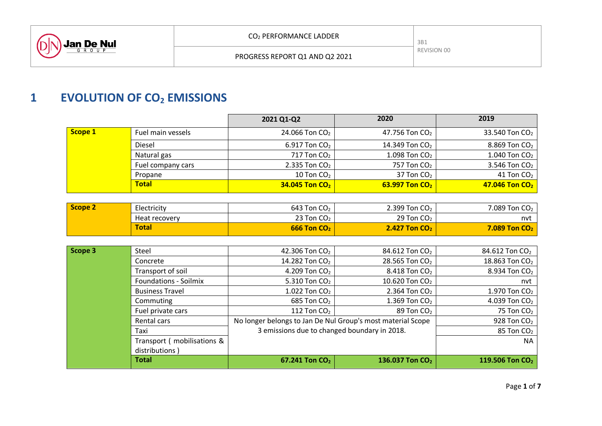

# **1 EVOLUTION OF CO<sup>2</sup> EMISSIONS**

|         |                   | 2021 Q1-Q2                 | 2020                         | 2019                         |
|---------|-------------------|----------------------------|------------------------------|------------------------------|
| Scope 1 | Fuel main vessels | 24.066 Ton $CO2$           | 47.756 Ton $CO2$             | 33.540 Ton $CO2$             |
|         | Diesel            | 6.917 Ton $CO2$            | 14.349 Ton $CO2$             | 8.869 Ton $CO2$              |
|         | Natural gas       | 717 Ton $CO2$              | 1.098 Ton $CO2$              | 1.040 Ton $CO2$              |
|         | Fuel company cars | 2.335 Ton $CO2$            | 757 Ton CO <sub>2</sub>      | 3.546 Ton $CO2$              |
|         | Propane           | 10 Ton $CO2$               | 37 Ton $CO2$                 | 41 Ton $CO2$                 |
|         | <b>Total</b>      | 34.045 Ton CO <sub>2</sub> | $63.997$ Ton CO <sub>2</sub> | $47.046$ Ton CO <sub>2</sub> |

| Scope 2 | Electricity   | 643 Ton $CO2$   | 2.399 Ton $CO2$                 | 7.089 Ton $CO2$   |
|---------|---------------|-----------------|---------------------------------|-------------------|
|         | Heat recovery | 23 Ton $CO2$    | 29 Ton $CO2$                    | nvt               |
|         | <b>Total</b>  | $666$ Ton $CO2$ | <b>2.427 Ton CO<sub>2</sub></b> | $7.089$ Ton $CO2$ |

| Scope 3 | Steel                                                                      | 42.306 Ton CO <sub>2</sub>                   | 84.612 Ton CO <sub>2</sub>  | 84.612 Ton CO <sub>2</sub>  |
|---------|----------------------------------------------------------------------------|----------------------------------------------|-----------------------------|-----------------------------|
|         | Concrete                                                                   | 14.282 Ton CO <sub>2</sub>                   | 28.565 Ton CO <sub>2</sub>  | 18.863 Ton CO <sub>2</sub>  |
|         | Transport of soil                                                          | 4.209 Ton $CO2$                              | 8.418 Ton CO <sub>2</sub>   | 8.934 Ton CO <sub>2</sub>   |
|         | <b>Foundations - Soilmix</b>                                               | 5.310 Ton CO <sub>2</sub>                    | 10.620 Ton CO <sub>2</sub>  | nvt                         |
|         | <b>Business Travel</b>                                                     | 1.022 Ton CO <sub>2</sub>                    | 2.364 Ton CO <sub>2</sub>   | 1.970 Ton CO <sub>2</sub>   |
|         | Commuting                                                                  | 685 Ton CO <sub>2</sub>                      | 1.369 Ton $CO2$             | 4.039 Ton CO <sub>2</sub>   |
|         | Fuel private cars                                                          | 112 Ton $CO2$                                | 89 Ton $CO2$                | 75 Ton $CO2$                |
|         | No longer belongs to Jan De Nul Group's most material Scope<br>Rental cars |                                              |                             | 928 Ton $CO2$               |
|         | Taxi                                                                       | 3 emissions due to changed boundary in 2018. | 85 Ton CO <sub>2</sub>      |                             |
|         | Transport (mobilisations &                                                 |                                              |                             | NA.                         |
|         | distributions)                                                             |                                              |                             |                             |
|         | <b>Total</b>                                                               | 67.241 Ton CO <sub>2</sub>                   | 136.037 Ton CO <sub>2</sub> | 119.506 Ton CO <sub>2</sub> |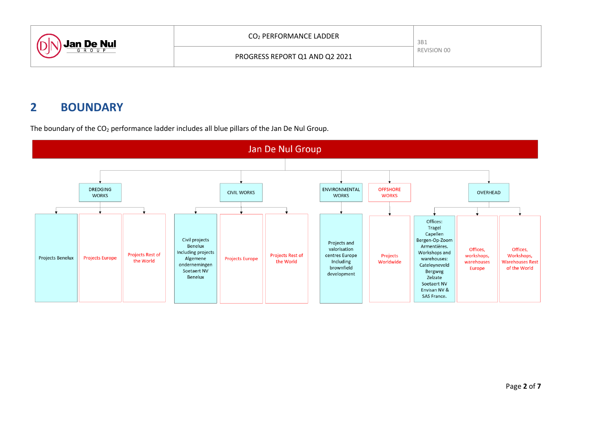

# **2 BOUNDARY**



The boundary of the  $CO<sub>2</sub>$  performance ladder includes all blue pillars of the Jan De Nul Group.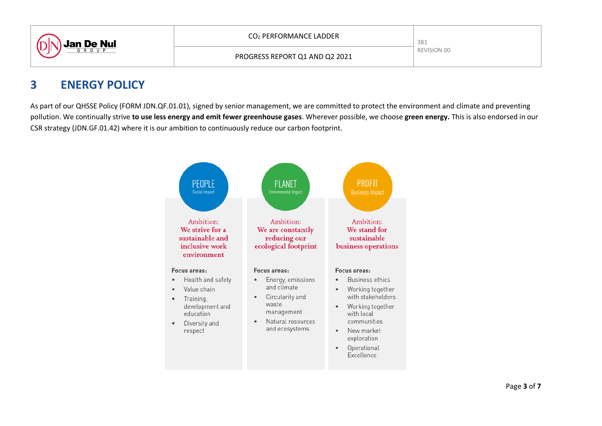

PROGRESS REPORT Q1 AND Q2 2021

## **3 ENERGY POLICY**

As part of our QHSSE Policy (FORM JDN.QF.01.01), signed by senior management, we are committed to protect the environment and climate and preventing pollution. We continually strive **to use less energy and emit fewer greenhouse gases**. Wherever possible, we choose **green energy.** This is also endorsed in our CSR strategy (JDN.GF.01.42) where it is our ambition to continuously reduce our carbon footprint.

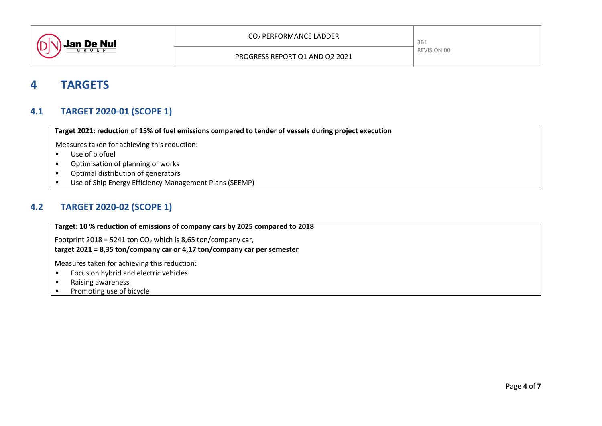

## **4 TARGETS**

#### **4.1 TARGET 2020-01 (SCOPE 1)**

**Target 2021: reduction of 15% of fuel emissions compared to tender of vessels during project execution**

Measures taken for achieving this reduction:

- Use of biofuel
- **•** Optimisation of planning of works
- **•** Optimal distribution of generators
- Use of Ship Energy Efficiency Management Plans (SEEMP)

#### **4.2 TARGET 2020-02 (SCOPE 1)**

**Target: 10 % reduction of emissions of company cars by 2025 compared to 2018**

Footprint 2018 = 5241 ton  $CO<sub>2</sub>$  which is 8,65 ton/company car,

**target 2021 = 8,35 ton/company car or 4,17 ton/company car per semester**

Measures taken for achieving this reduction:

- **Focus on hybrid and electric vehicles**
- **Raising awareness**
- **Promoting use of bicycle**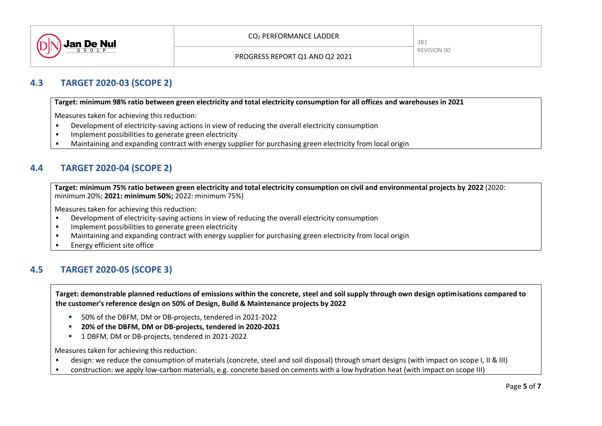

### **4.3 TARGET 2020-03 (SCOPE 2)**

**Target: minimum 98% ratio between green electricity and total electricity consumption for all offices and warehouses in 2021**

Measures taken for achieving this reduction:

- Development of electricity-saving actions in view of reducing the overall electricity consumption
- Implement possibilities to generate green electricity
- Maintaining and expanding contract with energy supplier for purchasing green electricity from local origin

### **4.4 TARGET 2020-04 (SCOPE 2)**

**Target: minimum 75% ratio between green electricity and total electricity consumption on civil and environmental projects by 2022** (2020: minimum 20%; **2021: minimum 50%;** 2022: minimum 75%)

Measures taken for achieving this reduction:

- Development of electricity-saving actions in view of reducing the overall electricity consumption
- Implement possibilities to generate green electricity
- Maintaining and expanding contract with energy supplier for purchasing green electricity from local origin
- Energy efficient site office

### **4.5 TARGET 2020-05 (SCOPE 3)**

**Target: demonstrable planned reductions of emissions within the concrete, steel and soil supply through own design optimisations compared to the customer's reference design on 50% of Design, Build & Maintenance projects by 2022**

- 50% of the DBFM, DM or DB-projects, tendered in 2021-2022
- **20% of the DBFM, DM or DB-projects, tendered in 2020-2021**
- <sup>1</sup> 1 DBFM, DM or DB-projects, tendered in 2021-2022

Measures taken for achieving this reduction:

- design: we reduce the consumption of materials (concrete, steel and soil disposal) through smart designs (with impact on scope I, II & III)
- construction: we apply low-carbon materials, e.g. concrete based on cements with a low hydration heat (with impact on scope III)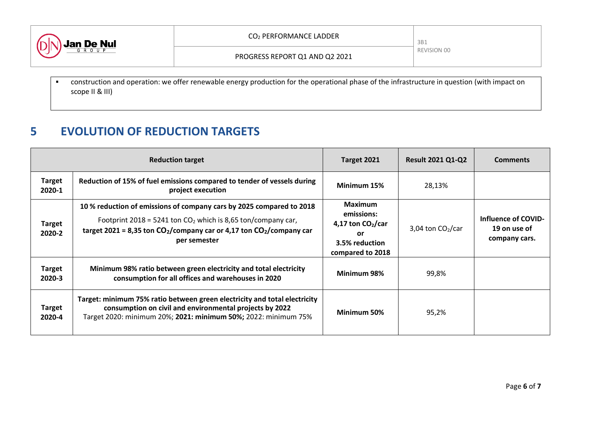

 construction and operation: we offer renewable energy production for the operational phase of the infrastructure in question (with impact on scope II & III)

# **5 EVOLUTION OF REDUCTION TARGETS**

|                         | <b>Reduction target</b>                                                                                                                                                                                                         | Target 2021                                                                                    | <b>Result 2021 Q1-Q2</b> | <b>Comments</b>                                             |
|-------------------------|---------------------------------------------------------------------------------------------------------------------------------------------------------------------------------------------------------------------------------|------------------------------------------------------------------------------------------------|--------------------------|-------------------------------------------------------------|
| <b>Target</b><br>2020-1 | Reduction of 15% of fuel emissions compared to tender of vessels during<br>project execution                                                                                                                                    | Minimum 15%                                                                                    | 28,13%                   |                                                             |
| <b>Target</b><br>2020-2 | 10% reduction of emissions of company cars by 2025 compared to 2018<br>Footprint 2018 = 5241 ton $CO2$ which is 8,65 ton/company car,<br>target 2021 = 8,35 ton $CO2/company$ car or 4,17 ton $CO2/company$ car<br>per semester | <b>Maximum</b><br>emissions:<br>4,17 ton $CO2/car$<br>or<br>3.5% reduction<br>compared to 2018 | 3,04 ton $CO2/car$       | <b>Influence of COVID-</b><br>19 on use of<br>company cars. |
| <b>Target</b><br>2020-3 | Minimum 98% ratio between green electricity and total electricity<br>consumption for all offices and warehouses in 2020                                                                                                         | Minimum 98%                                                                                    | 99,8%                    |                                                             |
| <b>Target</b><br>2020-4 | Target: minimum 75% ratio between green electricity and total electricity<br>consumption on civil and environmental projects by 2022<br>Target 2020: minimum 20%; 2021: minimum 50%; 2022: minimum 75%                          | Minimum 50%                                                                                    | 95,2%                    |                                                             |